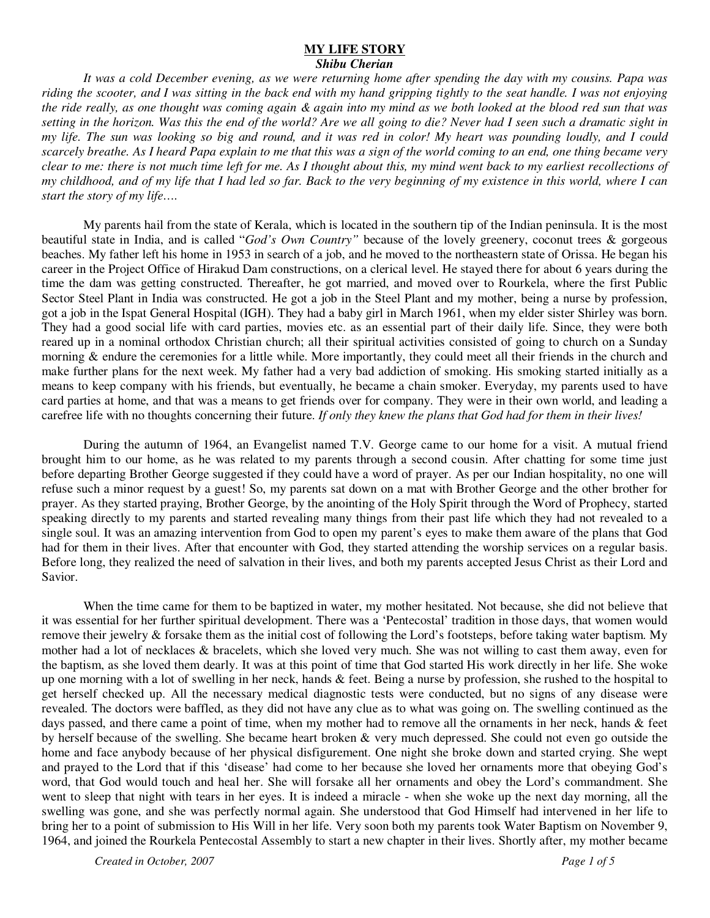## **MY LIFE STORY**

*Shibu Cherian* 

*It was a cold December evening, as we were returning home after spending the day with my cousins. Papa was riding the scooter, and I was sitting in the back end with my hand gripping tightly to the seat handle. I was not enjoying the ride really, as one thought was coming again & again into my mind as we both looked at the blood red sun that was setting in the horizon. Was this the end of the world? Are we all going to die? Never had I seen such a dramatic sight in my life. The sun was looking so big and round, and it was red in color! My heart was pounding loudly, and I could scarcely breathe. As I heard Papa explain to me that this was a sign of the world coming to an end, one thing became very clear to me: there is not much time left for me. As I thought about this, my mind went back to my earliest recollections of my childhood, and of my life that I had led so far. Back to the very beginning of my existence in this world, where I can start the story of my life….* 

 My parents hail from the state of Kerala, which is located in the southern tip of the Indian peninsula. It is the most beautiful state in India, and is called "*God's Own Country"* because of the lovely greenery, coconut trees & gorgeous beaches. My father left his home in 1953 in search of a job, and he moved to the northeastern state of Orissa. He began his career in the Project Office of Hirakud Dam constructions, on a clerical level. He stayed there for about 6 years during the time the dam was getting constructed. Thereafter, he got married, and moved over to Rourkela, where the first Public Sector Steel Plant in India was constructed. He got a job in the Steel Plant and my mother, being a nurse by profession, got a job in the Ispat General Hospital (IGH). They had a baby girl in March 1961, when my elder sister Shirley was born. They had a good social life with card parties, movies etc. as an essential part of their daily life. Since, they were both reared up in a nominal orthodox Christian church; all their spiritual activities consisted of going to church on a Sunday morning & endure the ceremonies for a little while. More importantly, they could meet all their friends in the church and make further plans for the next week. My father had a very bad addiction of smoking. His smoking started initially as a means to keep company with his friends, but eventually, he became a chain smoker. Everyday, my parents used to have card parties at home, and that was a means to get friends over for company. They were in their own world, and leading a carefree life with no thoughts concerning their future. *If only they knew the plans that God had for them in their lives!* 

 During the autumn of 1964, an Evangelist named T.V. George came to our home for a visit. A mutual friend brought him to our home, as he was related to my parents through a second cousin. After chatting for some time just before departing Brother George suggested if they could have a word of prayer. As per our Indian hospitality, no one will refuse such a minor request by a guest! So, my parents sat down on a mat with Brother George and the other brother for prayer. As they started praying, Brother George, by the anointing of the Holy Spirit through the Word of Prophecy, started speaking directly to my parents and started revealing many things from their past life which they had not revealed to a single soul. It was an amazing intervention from God to open my parent's eyes to make them aware of the plans that God had for them in their lives. After that encounter with God, they started attending the worship services on a regular basis. Before long, they realized the need of salvation in their lives, and both my parents accepted Jesus Christ as their Lord and Savior.

 When the time came for them to be baptized in water, my mother hesitated. Not because, she did not believe that it was essential for her further spiritual development. There was a 'Pentecostal' tradition in those days, that women would remove their jewelry & forsake them as the initial cost of following the Lord's footsteps, before taking water baptism. My mother had a lot of necklaces & bracelets, which she loved very much. She was not willing to cast them away, even for the baptism, as she loved them dearly. It was at this point of time that God started His work directly in her life. She woke up one morning with a lot of swelling in her neck, hands  $&$  feet. Being a nurse by profession, she rushed to the hospital to get herself checked up. All the necessary medical diagnostic tests were conducted, but no signs of any disease were revealed. The doctors were baffled, as they did not have any clue as to what was going on. The swelling continued as the days passed, and there came a point of time, when my mother had to remove all the ornaments in her neck, hands & feet by herself because of the swelling. She became heart broken & very much depressed. She could not even go outside the home and face anybody because of her physical disfigurement. One night she broke down and started crying. She wept and prayed to the Lord that if this 'disease' had come to her because she loved her ornaments more that obeying God's word, that God would touch and heal her. She will forsake all her ornaments and obey the Lord's commandment. She went to sleep that night with tears in her eyes. It is indeed a miracle - when she woke up the next day morning, all the swelling was gone, and she was perfectly normal again. She understood that God Himself had intervened in her life to bring her to a point of submission to His Will in her life. Very soon both my parents took Water Baptism on November 9, 1964, and joined the Rourkela Pentecostal Assembly to start a new chapter in their lives. Shortly after, my mother became

*Created in October, 2007 Page 1 of 5*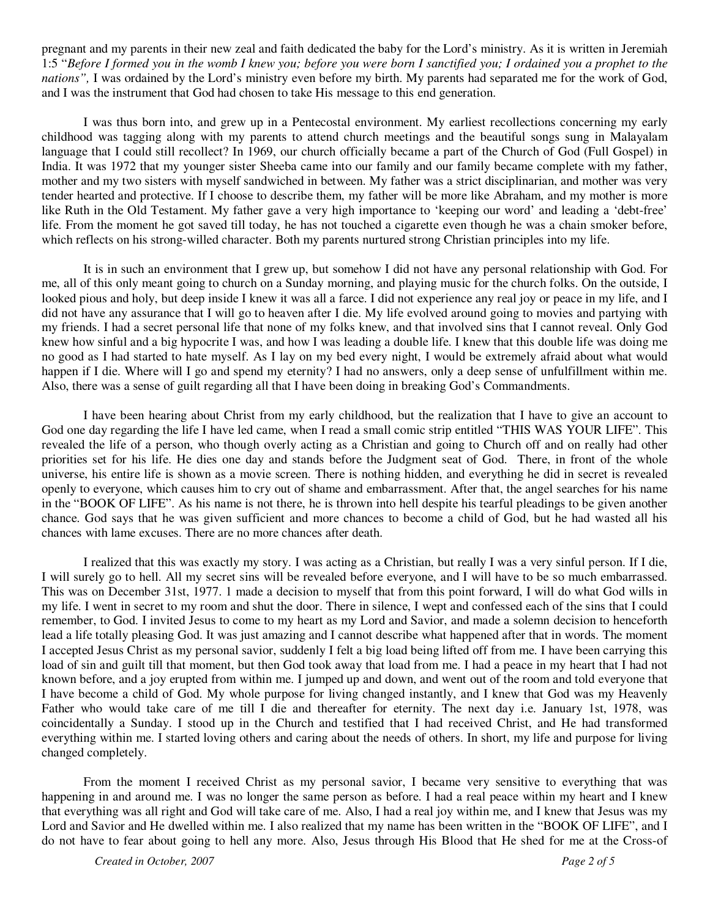pregnant and my parents in their new zeal and faith dedicated the baby for the Lord's ministry. As it is written in Jeremiah 1:5 "*Before I formed you in the womb I knew you; before you were born I sanctified you; I ordained you a prophet to the nations",* I was ordained by the Lord's ministry even before my birth. My parents had separated me for the work of God, and I was the instrument that God had chosen to take His message to this end generation.

 I was thus born into, and grew up in a Pentecostal environment. My earliest recollections concerning my early childhood was tagging along with my parents to attend church meetings and the beautiful songs sung in Malayalam language that I could still recollect? In 1969, our church officially became a part of the Church of God (Full Gospel) in India. It was 1972 that my younger sister Sheeba came into our family and our family became complete with my father, mother and my two sisters with myself sandwiched in between. My father was a strict disciplinarian, and mother was very tender hearted and protective. If I choose to describe them, my father will be more like Abraham, and my mother is more like Ruth in the Old Testament. My father gave a very high importance to 'keeping our word' and leading a 'debt-free' life. From the moment he got saved till today, he has not touched a cigarette even though he was a chain smoker before, which reflects on his strong-willed character. Both my parents nurtured strong Christian principles into my life.

 It is in such an environment that I grew up, but somehow I did not have any personal relationship with God. For me, all of this only meant going to church on a Sunday morning, and playing music for the church folks. On the outside, I looked pious and holy, but deep inside I knew it was all a farce. I did not experience any real joy or peace in my life, and I did not have any assurance that I will go to heaven after I die. My life evolved around going to movies and partying with my friends. I had a secret personal life that none of my folks knew, and that involved sins that I cannot reveal. Only God knew how sinful and a big hypocrite I was, and how I was leading a double life. I knew that this double life was doing me no good as I had started to hate myself. As I lay on my bed every night, I would be extremely afraid about what would happen if I die. Where will I go and spend my eternity? I had no answers, only a deep sense of unfulfillment within me. Also, there was a sense of guilt regarding all that I have been doing in breaking God's Commandments.

I have been hearing about Christ from my early childhood, but the realization that I have to give an account to God one day regarding the life I have led came, when I read a small comic strip entitled "THIS WAS YOUR LIFE". This revealed the life of a person, who though overly acting as a Christian and going to Church off and on really had other priorities set for his life. He dies one day and stands before the Judgment seat of God. There, in front of the whole universe, his entire life is shown as a movie screen. There is nothing hidden, and everything he did in secret is revealed openly to everyone, which causes him to cry out of shame and embarrassment. After that, the angel searches for his name in the "BOOK OF LIFE". As his name is not there, he is thrown into hell despite his tearful pleadings to be given another chance. God says that he was given sufficient and more chances to become a child of God, but he had wasted all his chances with lame excuses. There are no more chances after death.

I realized that this was exactly my story. I was acting as a Christian, but really I was a very sinful person. If I die, I will surely go to hell. All my secret sins will be revealed before everyone, and I will have to be so much embarrassed. This was on December 31st, 1977. 1 made a decision to myself that from this point forward, I will do what God wills in my life. I went in secret to my room and shut the door. There in silence, I wept and confessed each of the sins that I could remember, to God. I invited Jesus to come to my heart as my Lord and Savior, and made a solemn decision to henceforth lead a life totally pleasing God. It was just amazing and I cannot describe what happened after that in words. The moment I accepted Jesus Christ as my personal savior, suddenly I felt a big load being lifted off from me. I have been carrying this load of sin and guilt till that moment, but then God took away that load from me. I had a peace in my heart that I had not known before, and a joy erupted from within me. I jumped up and down, and went out of the room and told everyone that I have become a child of God. My whole purpose for living changed instantly, and I knew that God was my Heavenly Father who would take care of me till I die and thereafter for eternity. The next day i.e. January 1st, 1978, was coincidentally a Sunday. I stood up in the Church and testified that I had received Christ, and He had transformed everything within me. I started loving others and caring about the needs of others. In short, my life and purpose for living changed completely.

From the moment I received Christ as my personal savior, I became very sensitive to everything that was happening in and around me. I was no longer the same person as before. I had a real peace within my heart and I knew that everything was all right and God will take care of me. Also, I had a real joy within me, and I knew that Jesus was my Lord and Savior and He dwelled within me. I also realized that my name has been written in the "BOOK OF LIFE", and I do not have to fear about going to hell any more. Also, Jesus through His Blood that He shed for me at the Cross-of

*Created in October, 2007 Page 2 of 5*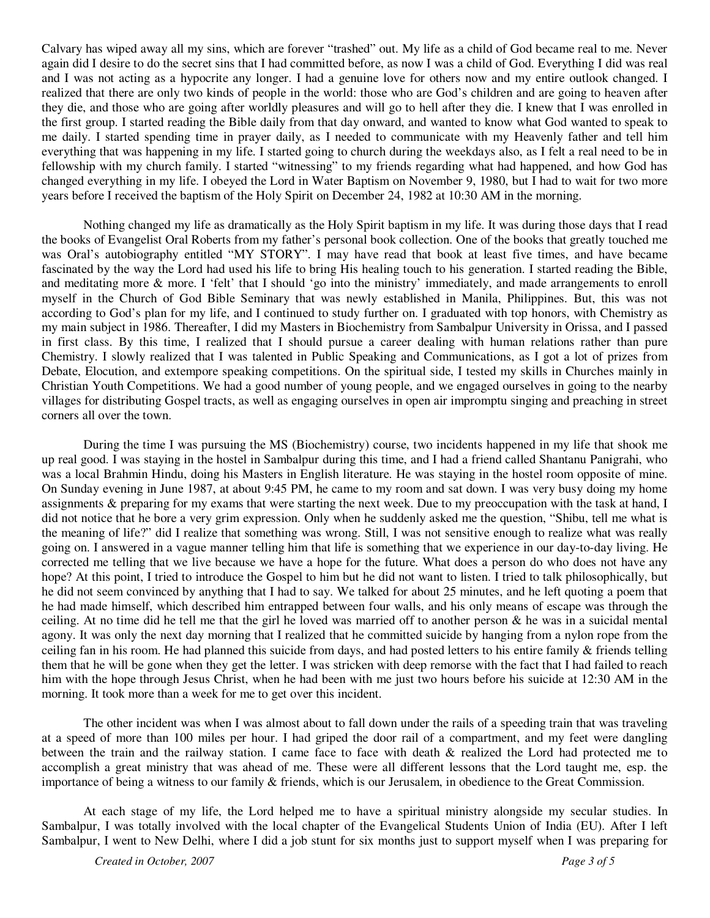Calvary has wiped away all my sins, which are forever "trashed" out. My life as a child of God became real to me. Never again did I desire to do the secret sins that I had committed before, as now I was a child of God. Everything I did was real and I was not acting as a hypocrite any longer. I had a genuine love for others now and my entire outlook changed. I realized that there are only two kinds of people in the world: those who are God's children and are going to heaven after they die, and those who are going after worldly pleasures and will go to hell after they die. I knew that I was enrolled in the first group. I started reading the Bible daily from that day onward, and wanted to know what God wanted to speak to me daily. I started spending time in prayer daily, as I needed to communicate with my Heavenly father and tell him everything that was happening in my life. I started going to church during the weekdays also, as I felt a real need to be in fellowship with my church family. I started "witnessing" to my friends regarding what had happened, and how God has changed everything in my life. I obeyed the Lord in Water Baptism on November 9, 1980, but I had to wait for two more years before I received the baptism of the Holy Spirit on December 24, 1982 at 10:30 AM in the morning.

Nothing changed my life as dramatically as the Holy Spirit baptism in my life. It was during those days that I read the books of Evangelist Oral Roberts from my father's personal book collection. One of the books that greatly touched me was Oral's autobiography entitled "MY STORY". I may have read that book at least five times, and have became fascinated by the way the Lord had used his life to bring His healing touch to his generation. I started reading the Bible, and meditating more & more. I 'felt' that I should 'go into the ministry' immediately, and made arrangements to enroll myself in the Church of God Bible Seminary that was newly established in Manila, Philippines. But, this was not according to God's plan for my life, and I continued to study further on. I graduated with top honors, with Chemistry as my main subject in 1986. Thereafter, I did my Masters in Biochemistry from Sambalpur University in Orissa, and I passed in first class. By this time, I realized that I should pursue a career dealing with human relations rather than pure Chemistry. I slowly realized that I was talented in Public Speaking and Communications, as I got a lot of prizes from Debate, Elocution, and extempore speaking competitions. On the spiritual side, I tested my skills in Churches mainly in Christian Youth Competitions. We had a good number of young people, and we engaged ourselves in going to the nearby villages for distributing Gospel tracts, as well as engaging ourselves in open air impromptu singing and preaching in street corners all over the town.

During the time I was pursuing the MS (Biochemistry) course, two incidents happened in my life that shook me up real good. I was staying in the hostel in Sambalpur during this time, and I had a friend called Shantanu Panigrahi, who was a local Brahmin Hindu, doing his Masters in English literature. He was staying in the hostel room opposite of mine. On Sunday evening in June 1987, at about 9:45 PM, he came to my room and sat down. I was very busy doing my home assignments & preparing for my exams that were starting the next week. Due to my preoccupation with the task at hand, I did not notice that he bore a very grim expression. Only when he suddenly asked me the question, "Shibu, tell me what is the meaning of life?" did I realize that something was wrong. Still, I was not sensitive enough to realize what was really going on. I answered in a vague manner telling him that life is something that we experience in our day-to-day living. He corrected me telling that we live because we have a hope for the future. What does a person do who does not have any hope? At this point, I tried to introduce the Gospel to him but he did not want to listen. I tried to talk philosophically, but he did not seem convinced by anything that I had to say. We talked for about 25 minutes, and he left quoting a poem that he had made himself, which described him entrapped between four walls, and his only means of escape was through the ceiling. At no time did he tell me that the girl he loved was married off to another person & he was in a suicidal mental agony. It was only the next day morning that I realized that he committed suicide by hanging from a nylon rope from the ceiling fan in his room. He had planned this suicide from days, and had posted letters to his entire family & friends telling them that he will be gone when they get the letter. I was stricken with deep remorse with the fact that I had failed to reach him with the hope through Jesus Christ, when he had been with me just two hours before his suicide at 12:30 AM in the morning. It took more than a week for me to get over this incident.

The other incident was when I was almost about to fall down under the rails of a speeding train that was traveling at a speed of more than 100 miles per hour. I had griped the door rail of a compartment, and my feet were dangling between the train and the railway station. I came face to face with death & realized the Lord had protected me to accomplish a great ministry that was ahead of me. These were all different lessons that the Lord taught me, esp. the importance of being a witness to our family & friends, which is our Jerusalem, in obedience to the Great Commission.

At each stage of my life, the Lord helped me to have a spiritual ministry alongside my secular studies. In Sambalpur, I was totally involved with the local chapter of the Evangelical Students Union of India (EU). After I left Sambalpur, I went to New Delhi, where I did a job stunt for six months just to support myself when I was preparing for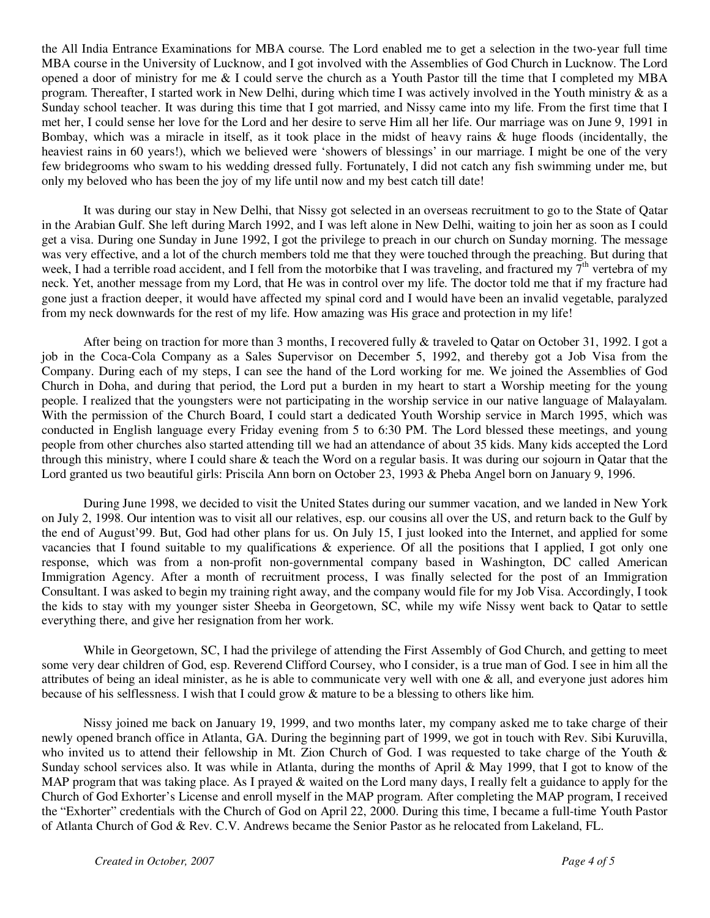the All India Entrance Examinations for MBA course. The Lord enabled me to get a selection in the two-year full time MBA course in the University of Lucknow, and I got involved with the Assemblies of God Church in Lucknow. The Lord opened a door of ministry for me & I could serve the church as a Youth Pastor till the time that I completed my MBA program. Thereafter, I started work in New Delhi, during which time I was actively involved in the Youth ministry & as a Sunday school teacher. It was during this time that I got married, and Nissy came into my life. From the first time that I met her, I could sense her love for the Lord and her desire to serve Him all her life. Our marriage was on June 9, 1991 in Bombay, which was a miracle in itself, as it took place in the midst of heavy rains & huge floods (incidentally, the heaviest rains in 60 years!), which we believed were 'showers of blessings' in our marriage. I might be one of the very few bridegrooms who swam to his wedding dressed fully. Fortunately, I did not catch any fish swimming under me, but only my beloved who has been the joy of my life until now and my best catch till date!

It was during our stay in New Delhi, that Nissy got selected in an overseas recruitment to go to the State of Qatar in the Arabian Gulf. She left during March 1992, and I was left alone in New Delhi, waiting to join her as soon as I could get a visa. During one Sunday in June 1992, I got the privilege to preach in our church on Sunday morning. The message was very effective, and a lot of the church members told me that they were touched through the preaching. But during that week, I had a terrible road accident, and I fell from the motorbike that I was traveling, and fractured my  $7<sup>th</sup>$  vertebra of my neck. Yet, another message from my Lord, that He was in control over my life. The doctor told me that if my fracture had gone just a fraction deeper, it would have affected my spinal cord and I would have been an invalid vegetable, paralyzed from my neck downwards for the rest of my life. How amazing was His grace and protection in my life!

After being on traction for more than 3 months, I recovered fully & traveled to Qatar on October 31, 1992. I got a job in the Coca-Cola Company as a Sales Supervisor on December 5, 1992, and thereby got a Job Visa from the Company. During each of my steps, I can see the hand of the Lord working for me. We joined the Assemblies of God Church in Doha, and during that period, the Lord put a burden in my heart to start a Worship meeting for the young people. I realized that the youngsters were not participating in the worship service in our native language of Malayalam. With the permission of the Church Board, I could start a dedicated Youth Worship service in March 1995, which was conducted in English language every Friday evening from 5 to 6:30 PM. The Lord blessed these meetings, and young people from other churches also started attending till we had an attendance of about 35 kids. Many kids accepted the Lord through this ministry, where I could share & teach the Word on a regular basis. It was during our sojourn in Qatar that the Lord granted us two beautiful girls: Priscila Ann born on October 23, 1993 & Pheba Angel born on January 9, 1996.

During June 1998, we decided to visit the United States during our summer vacation, and we landed in New York on July 2, 1998. Our intention was to visit all our relatives, esp. our cousins all over the US, and return back to the Gulf by the end of August'99. But, God had other plans for us. On July 15, I just looked into the Internet, and applied for some vacancies that I found suitable to my qualifications & experience. Of all the positions that I applied, I got only one response, which was from a non-profit non-governmental company based in Washington, DC called American Immigration Agency. After a month of recruitment process, I was finally selected for the post of an Immigration Consultant. I was asked to begin my training right away, and the company would file for my Job Visa. Accordingly, I took the kids to stay with my younger sister Sheeba in Georgetown, SC, while my wife Nissy went back to Qatar to settle everything there, and give her resignation from her work.

While in Georgetown, SC, I had the privilege of attending the First Assembly of God Church, and getting to meet some very dear children of God, esp. Reverend Clifford Coursey, who I consider, is a true man of God. I see in him all the attributes of being an ideal minister, as he is able to communicate very well with one  $\&$  all, and everyone just adores him because of his selflessness. I wish that I could grow & mature to be a blessing to others like him.

Nissy joined me back on January 19, 1999, and two months later, my company asked me to take charge of their newly opened branch office in Atlanta, GA. During the beginning part of 1999, we got in touch with Rev. Sibi Kuruvilla, who invited us to attend their fellowship in Mt. Zion Church of God. I was requested to take charge of the Youth & Sunday school services also. It was while in Atlanta, during the months of April & May 1999, that I got to know of the MAP program that was taking place. As I prayed & waited on the Lord many days, I really felt a guidance to apply for the Church of God Exhorter's License and enroll myself in the MAP program. After completing the MAP program, I received the "Exhorter" credentials with the Church of God on April 22, 2000. During this time, I became a full-time Youth Pastor of Atlanta Church of God & Rev. C.V. Andrews became the Senior Pastor as he relocated from Lakeland, FL.